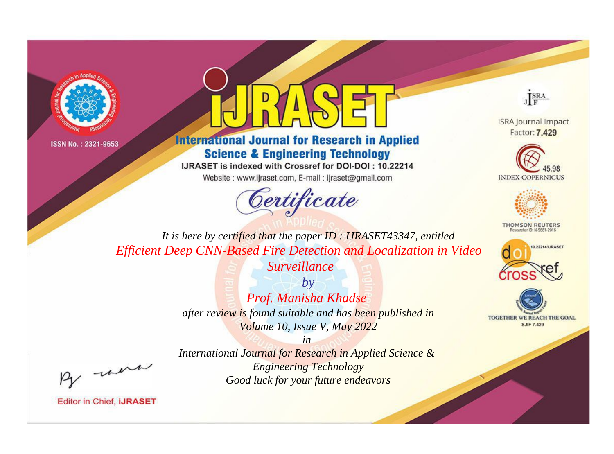



**International Journal for Research in Applied Science & Engineering Technology** 

IJRASET is indexed with Crossref for DOI-DOI: 10.22214

Website: www.ijraset.com, E-mail: ijraset@gmail.com





**ISRA Journal Impact** Factor: 7.429





**THOMSON REUTERS** 



TOGETHER WE REACH THE GOAL **SJIF 7.429** 

*It is here by certified that the paper ID : IJRASET43347, entitled Efficient Deep CNN-Based Fire Detection and Localization in Video* 

*Surveillance*

*by Prof. Manisha Khadse after review is found suitable and has been published in Volume 10, Issue V, May 2022*

*in International Journal for Research in Applied Science & Engineering Technology Good luck for your future endeavors*

, were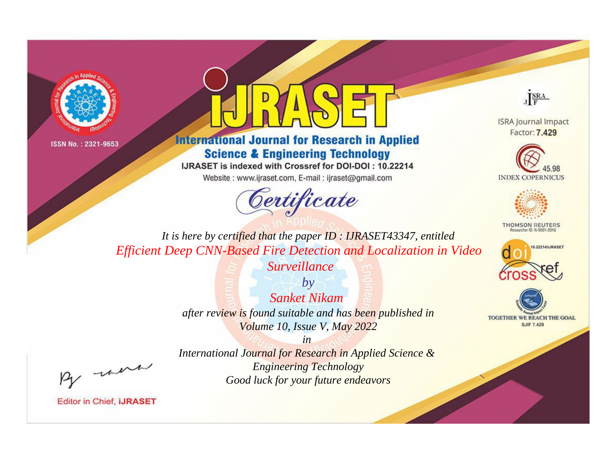



**International Journal for Research in Applied Science & Engineering Technology** 

IJRASET is indexed with Crossref for DOI-DOI: 10.22214

Website: www.ijraset.com, E-mail: ijraset@gmail.com





**ISRA Journal Impact** Factor: 7.429





**THOMSON REUTERS** 



TOGETHER WE REACH THE GOAL **SJIF 7.429** 

*It is here by certified that the paper ID : IJRASET43347, entitled Efficient Deep CNN-Based Fire Detection and Localization in Video* 

*Surveillance*

*by Sanket Nikam after review is found suitable and has been published in Volume 10, Issue V, May 2022*

, un

*International Journal for Research in Applied Science & Engineering Technology Good luck for your future endeavors*

*in*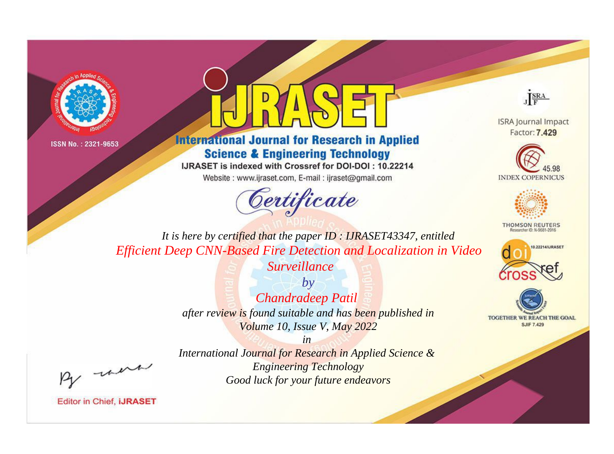



**International Journal for Research in Applied Science & Engineering Technology** 

IJRASET is indexed with Crossref for DOI-DOI: 10.22214

Website: www.ijraset.com, E-mail: ijraset@gmail.com





**ISRA Journal Impact** Factor: 7.429





**THOMSON REUTERS** 



TOGETHER WE REACH THE GOAL **SJIF 7.429** 

*It is here by certified that the paper ID : IJRASET43347, entitled Efficient Deep CNN-Based Fire Detection and Localization in Video* 

*Surveillance*

*by Chandradeep Patil after review is found suitable and has been published in Volume 10, Issue V, May 2022*

, un

*International Journal for Research in Applied Science & Engineering Technology Good luck for your future endeavors*

*in*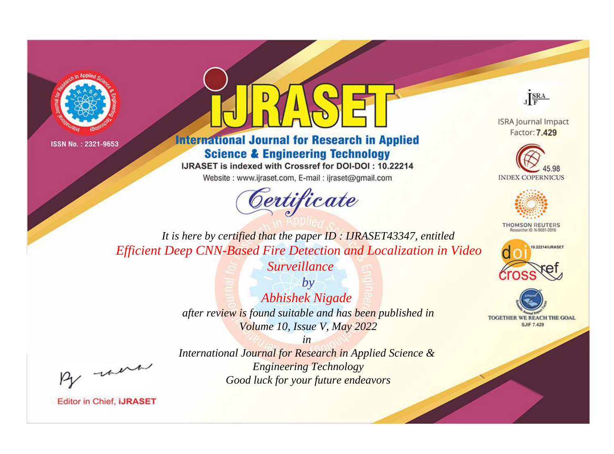



**International Journal for Research in Applied Science & Engineering Technology** 

IJRASET is indexed with Crossref for DOI-DOI: 10.22214

Website: www.ijraset.com, E-mail: ijraset@gmail.com





**ISRA Journal Impact** Factor: 7.429





**THOMSON REUTERS** 



TOGETHER WE REACH THE GOAL **SJIF 7.429** 

*It is here by certified that the paper ID : IJRASET43347, entitled Efficient Deep CNN-Based Fire Detection and Localization in Video* 

*Surveillance*

*by Abhishek Nigade after review is found suitable and has been published in Volume 10, Issue V, May 2022*

, un

*International Journal for Research in Applied Science & Engineering Technology Good luck for your future endeavors*

*in*